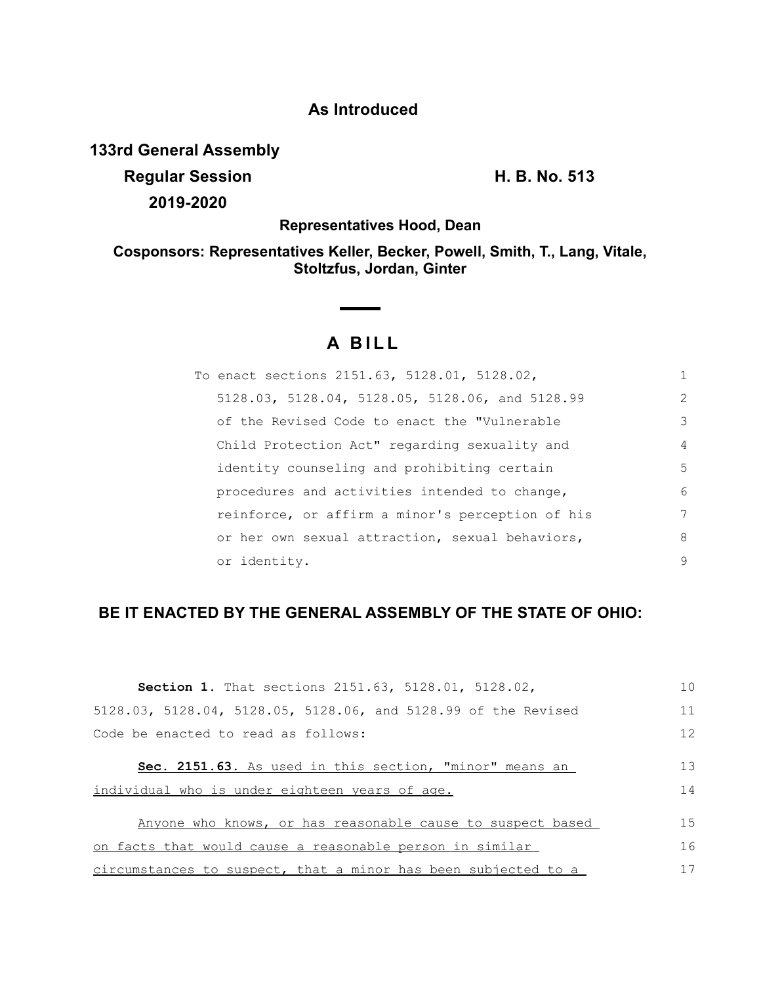## **As Introduced**

**133rd General Assembly**

**Regular Session H. B. No. 513 2019-2020**

**Representatives Hood, Dean**

**Cosponsors: Representatives Keller, Becker, Powell, Smith, T., Lang, Vitale, Stoltzfus, Jordan, Ginter**

## **A B I L L**

| To enact sections 2151.63, 5128.01, 5128.02,     | 1  |
|--------------------------------------------------|----|
| 5128.03, 5128.04, 5128.05, 5128.06, and 5128.99  | 2  |
| of the Revised Code to enact the "Vulnerable     | 3  |
| Child Protection Act" regarding sexuality and    | 4  |
| identity counseling and prohibiting certain      | .5 |
| procedures and activities intended to change,    | 6  |
| reinforce, or affirm a minor's perception of his | 7  |
| or her own sexual attraction, sexual behaviors,  | 8  |
| or identity.                                     | 9  |

## **BE IT ENACTED BY THE GENERAL ASSEMBLY OF THE STATE OF OHIO:**

| Section 1. That sections 2151.63, 5128.01, 5128.02,            | 10 |
|----------------------------------------------------------------|----|
| 5128.03, 5128.04, 5128.05, 5128.06, and 5128.99 of the Revised | 11 |
| Code be enacted to read as follows:                            | 12 |
| Sec. 2151.63. As used in this section, "minor" means an        | 13 |
| individual who is under eighteen years of age.                 | 14 |
| Anyone who knows, or has reasonable cause to suspect based     | 15 |
| on facts that would cause a reasonable person in similar       | 16 |
| circumstances to suspect, that a minor has been subjected to a | 17 |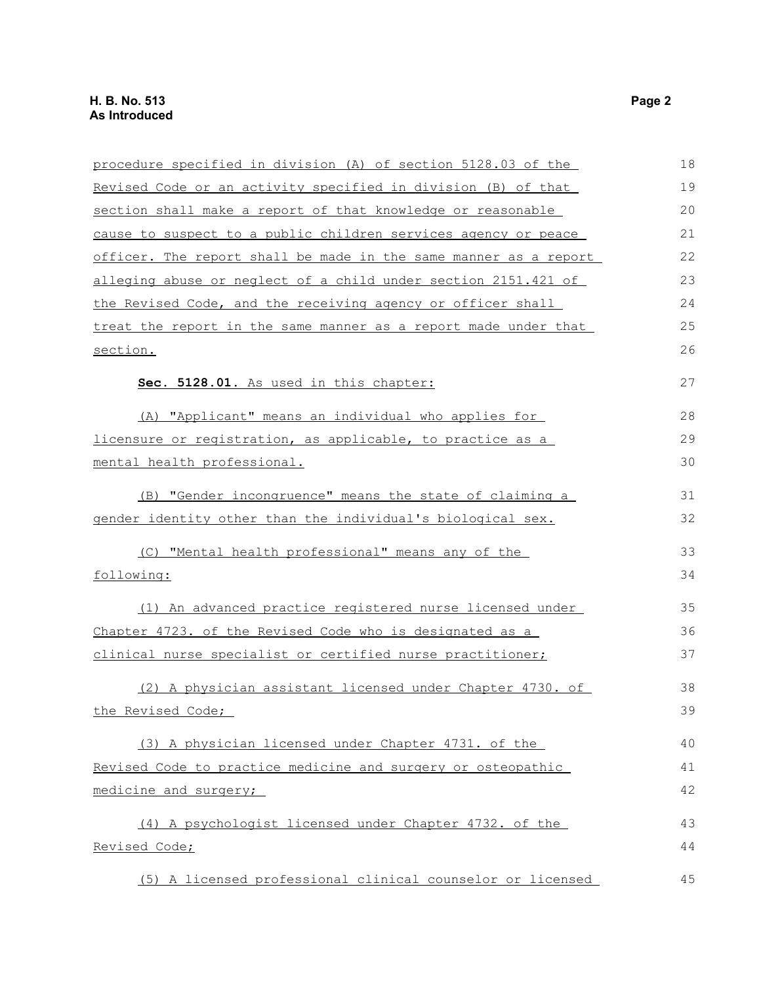| procedure specified in division (A) of section 5128.03 of the    | 18 |
|------------------------------------------------------------------|----|
| Revised Code or an activity specified in division (B) of that    | 19 |
| section shall make a report of that knowledge or reasonable      | 20 |
| cause to suspect to a public children services agency or peace   | 21 |
| officer. The report shall be made in the same manner as a report | 22 |
| alleging abuse or neglect of a child under section 2151.421 of   | 23 |
| the Revised Code, and the receiving agency or officer shall      | 24 |
| treat the report in the same manner as a report made under that  | 25 |
| section.                                                         | 26 |
| Sec. 5128.01. As used in this chapter:                           | 27 |
| (A) "Applicant" means an individual who applies for              | 28 |
| licensure or registration, as applicable, to practice as a       | 29 |
| mental health professional.                                      | 30 |
| (B) "Gender incongruence" means the state of claiming a          | 31 |
| gender identity other than the individual's biological sex.      | 32 |
| (C) "Mental health professional" means any of the                | 33 |
| following:                                                       | 34 |
| (1) An advanced practice registered nurse licensed under         | 35 |
| Chapter 4723. of the Revised Code who is designated as a         | 36 |
| clinical nurse specialist or certified nurse practitioner;       | 37 |
| (2) A physician assistant licensed under Chapter 4730. of        | 38 |
| the Revised Code;                                                | 39 |
| (3) A physician licensed under Chapter 4731. of the              | 40 |
| Revised Code to practice medicine and surgery or osteopathic     | 41 |
| medicine and surgery;                                            | 42 |
| (4) A psychologist licensed under Chapter 4732. of the           | 43 |
| Revised Code;                                                    | 44 |
| (5) A licensed professional clinical counselor or licensed       | 45 |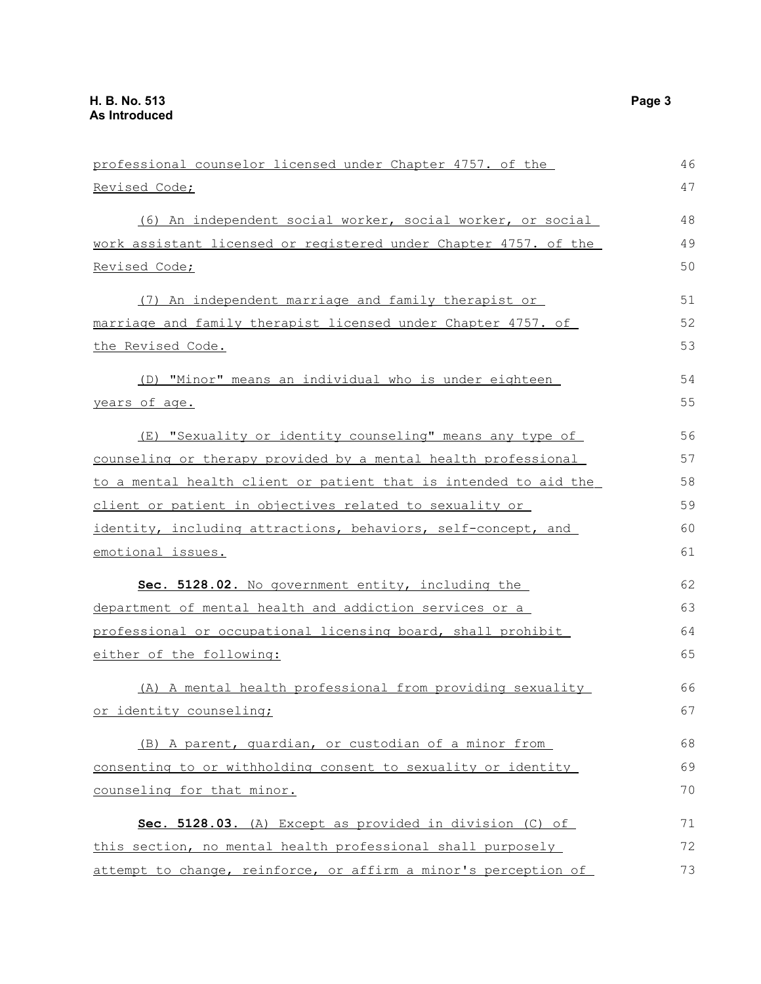| professional counselor licensed under Chapter 4757. of the       | 46 |
|------------------------------------------------------------------|----|
| <u>Revised Code;</u>                                             | 47 |
| (6) An independent social worker, social worker, or social       | 48 |
| work assistant licensed or registered under Chapter 4757. of the | 49 |
| Revised Code;                                                    | 50 |
| (7) An independent marriage and family therapist or              | 51 |
| marriage and family therapist licensed under Chapter 4757. of    | 52 |
| <u>the Revised Code.</u>                                         | 53 |
| (D) "Minor" means an individual who is under eighteen            | 54 |
| years of age.                                                    | 55 |
| (E) "Sexuality or identity counseling" means any type of         | 56 |
| counseling or therapy provided by a mental health professional   | 57 |
| to a mental health client or patient that is intended to aid the | 58 |
| client or patient in objectives related to sexuality or          | 59 |
| identity, including attractions, behaviors, self-concept, and    | 60 |
| emotional issues.                                                | 61 |
| Sec. 5128.02. No government entity, including the                | 62 |
| department of mental health and addiction services or a          | 63 |
| professional or occupational licensing board, shall prohibit     | 64 |
| either of the following:                                         | 65 |
| (A) A mental health professional from providing sexuality        | 66 |
| or identity counseling;                                          | 67 |
| (B) A parent, quardian, or custodian of a minor from             | 68 |
| consenting to or withholding consent to sexuality or identity    | 69 |
| counseling for that minor.                                       | 70 |
| Sec. 5128.03. (A) Except as provided in division (C) of          | 71 |
| this section, no mental health professional shall purposely      | 72 |
| attempt to change, reinforce, or affirm a minor's perception of  | 73 |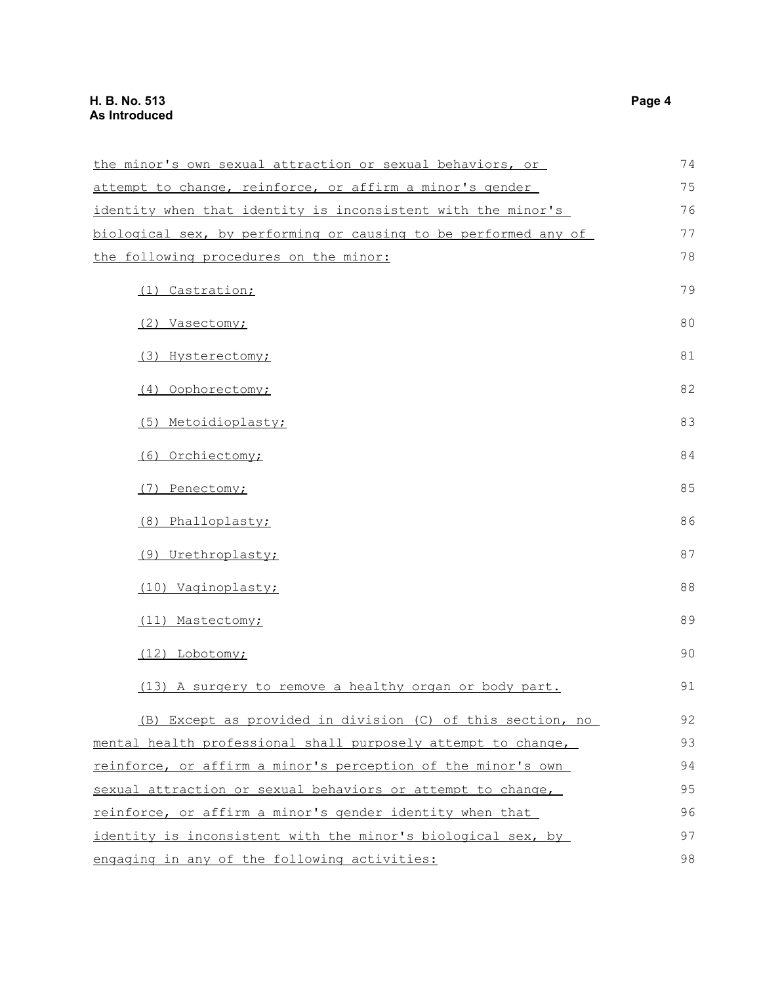| the minor's own sexual attraction or sexual behaviors, or       | 74 |
|-----------------------------------------------------------------|----|
| attempt to change, reinforce, or affirm a minor's gender        | 75 |
| identity when that identity is inconsistent with the minor's    | 76 |
| biological sex, by performing or causing to be performed any of | 77 |
| the following procedures on the minor:                          | 78 |
| (1) Castration;                                                 | 79 |
| (2) Vasectomy;                                                  | 80 |
| (3) Hysterectomy;                                               | 81 |
| (4) Oophorectomy;                                               | 82 |
| (5) Metoidioplasty;                                             | 83 |
| (6) Orchiectomy;                                                | 84 |
| (7) Penectomy;                                                  | 85 |
| (8) Phalloplasty;                                               | 86 |
| (9) Urethroplasty;                                              | 87 |
| (10) Vaginoplasty;                                              | 88 |
| (11) Mastectomy;                                                | 89 |
| (12) Lobotomy;                                                  | 90 |
| (13) A surgery to remove a healthy organ or body part.          | 91 |
| (B) Except as provided in division (C) of this section, no      | 92 |
| mental health professional shall purposely attempt to change,   | 93 |
| reinforce, or affirm a minor's perception of the minor's own    | 94 |
| sexual attraction or sexual behaviors or attempt to change,     | 95 |
| reinforce, or affirm a minor's gender identity when that        | 96 |
| identity is inconsistent with the minor's biological sex, by    | 97 |
| engaging in any of the following activities:                    | 98 |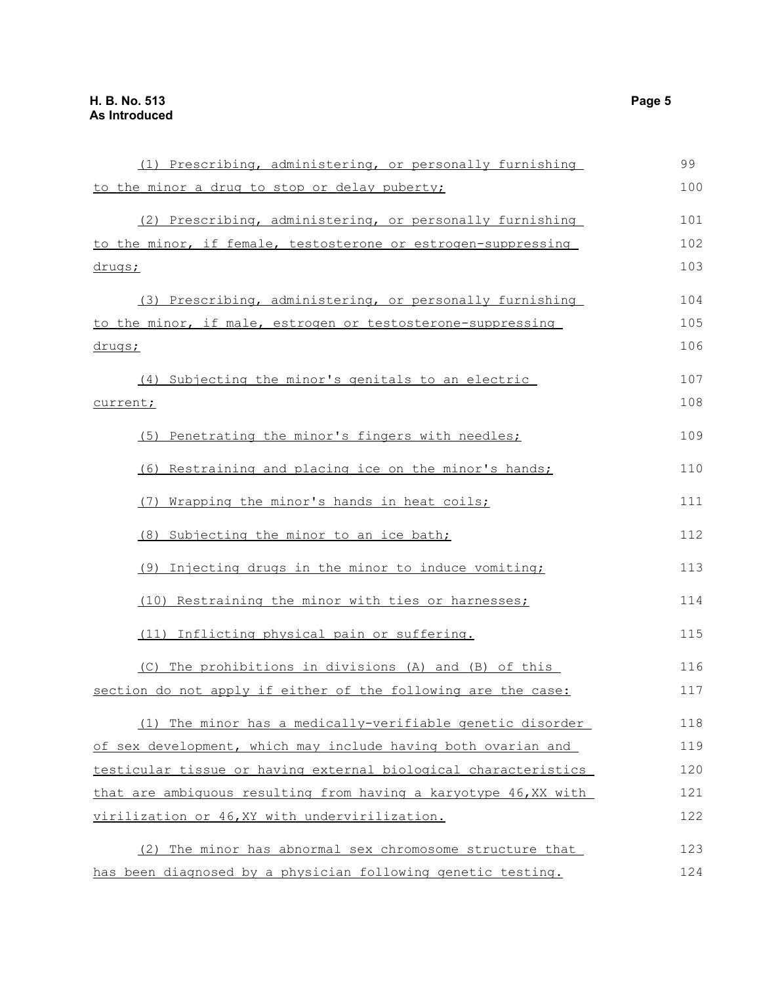| (1) Prescribing, administering, or personally furnishing         | 99  |
|------------------------------------------------------------------|-----|
| to the minor a drug to stop or delay puberty;                    | 100 |
| (2) Prescribing, administering, or personally furnishing         | 101 |
| to the minor, if female, testosterone or estrogen-suppressing    | 102 |
| drugs;                                                           | 103 |
| (3) Prescribing, administering, or personally furnishing         | 104 |
| to the minor, if male, estrogen or testosterone-suppressing      | 105 |
| <u>drugs;</u>                                                    | 106 |
| (4) Subjecting the minor's genitals to an electric               | 107 |
| current;                                                         | 108 |
| (5) Penetrating the minor's fingers with needles;                | 109 |
| (6) Restraining and placing ice on the minor's hands;            | 110 |
| (7) Wrapping the minor's hands in heat coils;                    | 111 |
| (8) Subjecting the minor to an ice bath;                         | 112 |
| (9) Injecting drugs in the minor to induce vomiting;             | 113 |
| (10) Restraining the minor with ties or harnesses;               | 114 |
| (11) Inflicting physical pain or suffering.                      | 115 |
| (C) The prohibitions in divisions (A) and (B) of this            | 116 |
| section do not apply if either of the following are the case:    | 117 |
| (1) The minor has a medically-verifiable genetic disorder        | 118 |
| of sex development, which may include having both ovarian and    | 119 |
| testicular tissue or having external biological characteristics  | 120 |
| that are ambiquous resulting from having a karyotype 46, XX with | 121 |
| virilization or 46, XY with undervirilization.                   | 122 |
| The minor has abnormal sex chromosome structure that<br>(2)      | 123 |
| has been diagnosed by a physician following genetic testing.     | 124 |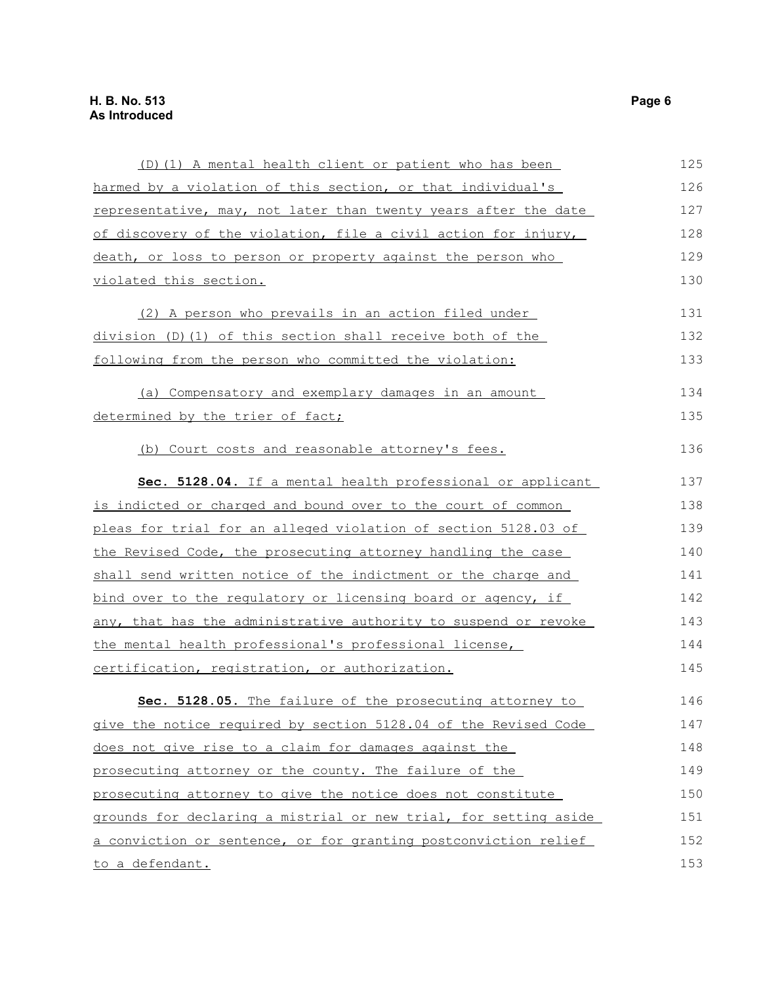| (D) (1) A mental health client or patient who has been              | 125 |
|---------------------------------------------------------------------|-----|
| harmed by a violation of this section, or that individual's         | 126 |
| representative, may, not later than twenty years after the date     | 127 |
| of discovery of the violation, file a civil action for injury,      | 128 |
| death, or loss to person or property against the person who         | 129 |
| violated this section.                                              | 130 |
| (2) A person who prevails in an action filed under                  | 131 |
| division (D) (1) of this section shall receive both of the          | 132 |
| following from the person who committed the violation:              | 133 |
| (a) Compensatory and exemplary damages in an amount                 | 134 |
| determined by the trier of fact;                                    | 135 |
| (b) Court costs and reasonable attorney's fees.                     | 136 |
| Sec. 5128.04. If a mental health professional or applicant          | 137 |
| <u>is indicted or charged and bound over to the court of common</u> | 138 |
| pleas for trial for an alleged violation of section 5128.03 of      | 139 |
| the Revised Code, the prosecuting attorney handling the case        | 140 |
| shall send written notice of the indictment or the charge and       | 141 |
| bind over to the regulatory or licensing board or agency, if        | 142 |
| any, that has the administrative authority to suspend or revoke     | 143 |
| the mental health professional's professional license,              | 144 |
| certification, registration, or authorization.                      | 145 |
| Sec. 5128.05. The failure of the prosecuting attorney to            | 146 |
| give the notice required by section 5128.04 of the Revised Code     | 147 |
| does not give rise to a claim for damages against the               | 148 |
| prosecuting attorney or the county. The failure of the              | 149 |
| prosecuting attorney to give the notice does not constitute         | 150 |
| grounds for declaring a mistrial or new trial, for setting aside    | 151 |
| a conviction or sentence, or for granting postconviction relief     | 152 |
| to a defendant.                                                     | 153 |